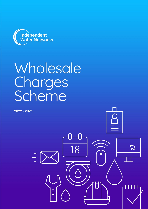

# Wholesale **Charges** Scheme

 $\sqrt{2}$ 

B

 $\overline{18}$ 

**2022 - 2023**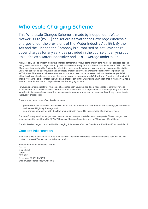## **Wholesale Charging Scheme**

This Wholesale Charges Scheme is made by Independent Water Networks Ltd (IWNL) and set out its Water and Sewerage Wholesale charges under the provisions of the Water Industry Act 1991. By the Act and the Licence the Company is authorised to set, levy and recover charges for any services provided in the course of carrying out its duties as a water undertaker and as a sewerage undertaker.

IWNL are only able to present indicative charges at this time. IWNL's costs of providing wholesale services depend to a great extent on the charges made by the local water company for the bulk supply of water to the IWNL site. The Ofwat investigation into the NAV market identified these boundary charges as a key barrier to competition. While Ofwat has concluded its consultation on boundary charges to NAVs, many incumbents have yet to publish their NAV charges. There are also instances where incumbents have not yet released their wholesale charges. IWNL will review its wholesale charges when this has occurred. In the meantime, IWNL will start from the position that it should typically be able to match the wholesale charges set by the water company in each area in which IWNL has a network, as reflected in the charges shown in this Charging Scheme.

However, specific requests for wholesale charges for both household and non-household property will have to be considered on an individual basis in order to offer cost-reflective charges because boundary charges can vary significantly between sites even within the same water company area, and not necessarily with any connection to the level of onsite costs.

There are two main types of wholesale services:

- primary services related to the supply of water and the removal and treatment of foul sewerage, surface water drainage and highway drainage; and
- non-primary services for activities that are not directly related to the provision of primary services.

The Non-Primary service charges have been developed to support retailer service requests. These charges have been designed to meet both the OFWAT Wholesale Charging Guidelines and the Wholesale - Retail Code.

The Wholesale Charges contained in this Charging Scheme are effective from 1st April 2022 until 31st March 2023.

#### **Contact Information**

If you would like to contact IWNL in relation to any of the services referred to in the Wholesale Scheme, you can contact our Asset Team using the following details:

Independent Water Networks Limited Driscoll 2 Ellen Street Cardiff CF10 4BP Telephone: 02920 31442716 Email: water.operations@iwnl.co.uk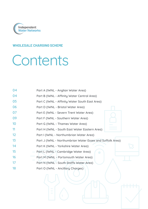

## **WHOLESALE CHARGING SCHEME**

# Contents

| 04 | Part A (IWNL - Anglian Water Area)                        |
|----|-----------------------------------------------------------|
| 04 | Part B (IWNL - Affinity Water Central Area)               |
| 05 | Part C (IWNL - Affinity Water South East Area)            |
| 06 | Part D (IWNL - Bristol Water Area)                        |
| 07 | Part E (IWNL - Severn Trent Water Area)                   |
| 09 | Part F (IWNL - Southern Water Area)                       |
| 10 | Part G (IWNL - Thames Water Area)                         |
| 11 | Part H (IWNL - South East Water Eastern Area)             |
| 12 | Part I (IWNL - Northumbrian Water Area)                   |
| 13 | Part J (IWNL - Northumbrian Water Essex and Suffolk Area) |
| 14 | Part K (IWNL - Yorkshire Water Area)                      |
| 15 | Part L (IWNL - Cambridge Water Area)<br>$\Box$            |
| 16 | Part M (IWNL - Portsmouth Water Area)                     |
| 17 | Part N (IWNL - South Staffs Water Area)                   |
| 18 | Part O (IWNL - Ancillary Charges)                         |
|    |                                                           |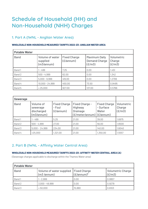## **Schedule of Household (HH) and Non-Household (NHH) Charges**

## **1. Part A (IWNL - Anglian Water Area)**

#### **WHOLESALE NON-HOUSEHOLD MEASURED TARIFFS 2022-23: ANGLIAN WATER AREA**

| <b>Potable Water</b> |                                           |                                           |                                                        |                                |  |
|----------------------|-------------------------------------------|-------------------------------------------|--------------------------------------------------------|--------------------------------|--|
| <b>Band</b>          | Volume of water<br>supplied<br>(m3/annum) | <b>Fixed Charge</b><br>$(E/\text{annum})$ | <b>Maximum Daily</b><br><b>Demand Charge</b><br>(E/m3) | Volumetric<br>Charge<br>(E/m3) |  |
| Band 1               | 1 - 499                                   | 7.25                                      | 0.00                                                   | 1.451                          |  |
| Band 2               | $500 - 4,999$                             | 62.00                                     | 0.00                                                   | 1.342                          |  |
| Band 3               | $5,000 - 9,999$                           | 419.00                                    | 0.00                                                   | 1.2706                         |  |
| Band 4               | $10,000 - 24,999$                         | 450.00                                    | 73.50                                                  | 0.9495                         |  |
| Band 5               | > 25,000                                  | 927.00                                    | 137.00                                                 | 0.5766                         |  |

| <b>Sewerage</b> |                                                   |                                            |                                                                                 |                                           |                                |
|-----------------|---------------------------------------------------|--------------------------------------------|---------------------------------------------------------------------------------|-------------------------------------------|--------------------------------|
| <b>Band</b>     | Volume of<br>sewerage<br>discharged<br>(m3/annum) | <b>Fixed Charge</b><br>- Foul<br>(E/annum) | Fixed Charge -<br>Highway<br><b>Drainage</b><br>$(E/meter/annum)$ ( $E/annum$ ) | <b>Fixed Charge</b><br>- Surface<br>Water | Volumetric<br>Charge<br>(E/m3) |
| Band 1          | $1 - 499$                                         | 5.25                                       | 21.00                                                                           | 39.00                                     | 1.6975                         |
| Band 2          | $500 - 4,999$                                     | 27.00                                      | 21.00                                                                           | 56.00                                     | 1.6500                         |
| Band 3          | $5,000 - 24,999$                                  | 234.00                                     | 21.00                                                                           | 140.00                                    | 1.6040                         |
| Band 4          | >25,000                                           | 1,321.00                                   | 21.00                                                                           | 1,350.00                                  | 1.5557                         |

## **2. Part B (IWNL - Affinity Water Central Area)**

#### **WHOLESALE NON-HOUSEHOLD MEASURED TARIFFS 2022-23: AFFINITY WATER CENTRAL AREA (A)**

(Sewerage charges applicable to discharge within the Thames Water area)

| <b>Potable Water</b> |                                                                  |              |                                    |  |  |  |
|----------------------|------------------------------------------------------------------|--------------|------------------------------------|--|--|--|
| <b>Band</b>          | Volume of water supplied   Fixed Charge<br>$(m3 / \text{annum})$ | $(E/annum)*$ | <b>Volumetric Charge</b><br>(E/m3) |  |  |  |
| Band 1               | $1 - 2.999$                                                      | 0.00         | 0.9957                             |  |  |  |
| Band 2               | $3,000 - 49,999$                                                 | 0.00         | 0.9279                             |  |  |  |
| Band 3               | > 50,000                                                         | 15,880       | 0.6103                             |  |  |  |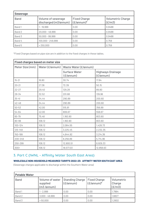| <b>Sewerage</b> |                                             |                                     |                                    |  |  |
|-----------------|---------------------------------------------|-------------------------------------|------------------------------------|--|--|
| <b>Band</b>     | Volume of sewerage<br>discharged (m3/annum) | <b>Fixed Charge</b><br>$(E/annum)*$ | <b>Volumetric Charge</b><br>(E/m3) |  |  |
| Band 1          | $1 - 19,999$                                | 0.00                                | 0.9488                             |  |  |
| Band 2          | $20,000 - 49,999$                           | 0.00                                | 0.9488                             |  |  |
| Band 3          | $50,000 - 99,999$                           | 0.00                                | 0.9488                             |  |  |
| Band 4          | 100,000 - 249,999                           | 0.00                                | 0.759                              |  |  |
| Band 5          | > 250,000                                   | 0.00                                | 0.759                              |  |  |

| <b>Fixed charges based on meter size</b> |                 |                                   |                                                |  |
|------------------------------------------|-----------------|-----------------------------------|------------------------------------------------|--|
| Meter Size (mm)                          | Water (£/annum) | Waste Water (£/annum)             |                                                |  |
|                                          |                 | <b>Surface Water</b><br>(E/annum) | <b>Highways Drainage</b><br>$(E/\text{annum})$ |  |
| $15 - 21$                                | 16.80           | 30.74                             | 17.84                                          |  |
| $20 - 21$                                | 27.36           | 72.39                             | 50.15                                          |  |
| $22 - 27$                                | 29.40           | 129.28                            | 89.80                                          |  |
| $28 - 34$                                | 32.52           | 201.68                            | 139.96                                         |  |
| $35 - 41$                                | 34.44           | 290.89                            | 200.60                                         |  |
| $42 - 49$                                | 34.44           | 290.89                            | 200.60                                         |  |
| $50 - 53$                                | 42.00           | 515.81                            | 356.89                                         |  |
| 54-64                                    | 42.00           | 806.67                            | 558.67                                         |  |
| 65-79                                    | 75.48           | 1,160.90                          | 803.60                                         |  |
| 80-99                                    | 108.12          | 1,160.90                          | 803.60                                         |  |
| 100-124                                  | 108.12          | 2,064.55                          | 1,428.73                                       |  |
| 125-149                                  | 108.12          | 3,225.45                          | 2,232.35                                       |  |
| 150-199                                  | 108.12          | 4,644.92                          | 3,214.36                                       |  |
| 200-249                                  | 108.12          | 8,256.89                          | 5,714.96                                       |  |
| 250-299                                  | 108.12          | 12,900.51                         | 8,929.33                                       |  |
| $300+$                                   | 108.12          | 18,577.03                         | 12,858.63                                      |  |

## **3. Part C (IWNL - Affinity Water South East Area)**

#### **WHOLESALE NON-HOUSEHOLD MEASURED TARIFFS 2022-23: AFFINITY WATER SOUTH EAST AREA**

(Sewerage charges applicable to discharge within the Southern Water area)

| <b>Potable Water</b> |                                                      |                                     |                                             |                                |
|----------------------|------------------------------------------------------|-------------------------------------|---------------------------------------------|--------------------------------|
| <b>Band</b>          | Volume of water<br>supplied<br>$(m3 / \text{annum})$ | <b>Standing Charge</b><br>(E/annum) | <b>Fixed Charge</b><br>$(E/\text{annum})^*$ | Volumetric<br>Charge<br>(E/m3) |
| Band 1               | 1 - 2,999                                            | 0.00                                | 0.00                                        | 1.7964                         |
| Band 2               | $3,000 - 49,999$                                     | 0.00                                | 0.00                                        | 1.6827                         |
| Band 3               | > 50,000                                             | 0.00                                | 0.00                                        | 1.2602                         |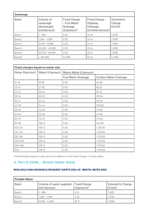| <b>Sewerage</b> |                                                   |                                                                                |                                                                 |                                |  |
|-----------------|---------------------------------------------------|--------------------------------------------------------------------------------|-----------------------------------------------------------------|--------------------------------|--|
| <b>Band</b>     | Volume of<br>sewerage<br>discharged<br>(m3/annum) | <b>Fixed Charge</b><br>- Foul Water<br><b>Drainage</b><br>$(E/\text{annum})^*$ | Fixed Charge -<br>Highway<br><b>Drainage</b><br>(£/meter/annum) | Volumetric<br>Charge<br>(E/m3) |  |
| Band 1          | $1 - 999$                                         | 0.00                                                                           | 10.44                                                           | 1.9760                         |  |
| Band 2          | $1,000 - 4,999$                                   | 0.00                                                                           | 10.44                                                           | 1.9760                         |  |
| Band 3          | $5,000 - 19,999$                                  | 0.00                                                                           | 10.44                                                           | 1.9760                         |  |
| Band 4          | $20,000 - 49,999$                                 | 0.00                                                                           | 10.44                                                           | 1.9760                         |  |
| Band 5          | $50,000 - 99,999$                                 | 0.00                                                                           | 10.44                                                           | 1.9760                         |  |
| Band 6          | >100,000                                          | 54,698                                                                         | 10.44                                                           | 1.4290                         |  |

| <b>Fixed charges based on meter size</b> |                 |                            |                               |  |
|------------------------------------------|-----------------|----------------------------|-------------------------------|--|
| Meter Size (mm)                          | Water (£/annum) | Waste Water (£/annum)      |                               |  |
|                                          |                 | <b>Foul Water Drainage</b> | <b>Surface Water Drainage</b> |  |
| $15 - 19$                                | 16.80           | 0.00                       | 20.88                         |  |
| $20 - 21$                                | 27.36           | 0.00                       | 83.52                         |  |
| $22 - 27$                                | 29.40           | 0.00                       | 83.52                         |  |
| $28 - 34$                                | 32.52           | 0.00                       | 167.04                        |  |
| $35 - 41$                                | 34.44           | 0.00                       | 167.04                        |  |
| $42 - 49$                                | 34.44           | 0.00                       | 208.80                        |  |
| $50 - 53$                                | 42.00           | 0.00                       | 417.60                        |  |
| 54-64                                    | 42.00           | 0.00                       | 417.60                        |  |
| 65-79                                    | 75.48           | 0.00                       | 417.60                        |  |
| 80-99                                    | 108.12          | 0.00                       | 542.88                        |  |
| 100-124                                  | 108.12          | 0.00                       | 1,378.08                      |  |
| 125-149                                  | 108.12          | 0.00                       | 1,378.08                      |  |
| 150-199                                  | 108.12          | 0.00                       | 1,378.08                      |  |
| 200-249                                  | 108.12          | 0.00                       | 1,378.08                      |  |
| 250-299                                  | 108.12          | 0.00                       | 1,378.08                      |  |
| $300+$                                   | 108.12          | 0.00                       | 1,378.08                      |  |

## **4. Part D (IWNL - Bristol Water Area)**

#### **WHOLESALE NON-HOUSEHOLD MEASURED TARIFFS 2022-23: BRISTOL WATER AREA**

| <b>Potable Water</b> |                                                   |                                     |                                    |  |  |
|----------------------|---------------------------------------------------|-------------------------------------|------------------------------------|--|--|
| <b>Band</b>          | Volume of water supplied<br>$(m3 / \text{annum})$ | <b>Fixed Charge</b><br>$(E/annum)*$ | <b>Volumetric Charge</b><br>(E/m3) |  |  |
| Band 1               | - 999                                             | 5.32                                | 1.3935                             |  |  |
| Band 2               | $1,000 - 4,999$                                   | 11.54                               | 1.3756                             |  |  |
| Band 3               | $5,000 - 14,999$                                  | 39.71                               | 1.3560                             |  |  |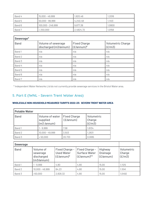| l Band 4 | 15,000 - 49,999     | 1,920.46  | 1.2016 |
|----------|---------------------|-----------|--------|
| l Band 5 | $50,000$ - $99,999$ | 4,240.48  | 1.1413 |
| Band 6   | $100,000 - 249,999$ | 9,877.38  | 1.0800 |
| Band 7   | > 250,000           | 2,4824.72 | 1.0158 |

| Sewerage*   |                                             |                                       |                                    |  |  |
|-------------|---------------------------------------------|---------------------------------------|------------------------------------|--|--|
| <b>Band</b> | Volume of sewerage<br>discharged (m3/annum) | <b>Fixed Charge</b><br>$ $ (£/annum)* | <b>Volumetric Charge</b><br>(E/m3) |  |  |
| Band 1      | n/a                                         | n/a                                   | n/a                                |  |  |
| Band 2      | n/a                                         | n/a                                   | n/a                                |  |  |
| Band 3      | n/a                                         | n/a                                   | n/a                                |  |  |
| Band 4      | n/a                                         | n/a                                   | n/a                                |  |  |
| Band 5      | n/a                                         | n/a                                   | n/a                                |  |  |
| Band 6      | n/a                                         | n/a                                   | n/a                                |  |  |
| Band 7      | n/a                                         | n/a                                   | n/a                                |  |  |

\* Independent Water Networks Ltd do not currently provide sewerage services in the Bristol Water area.

## **5. Part E (IWNL - Severn Trent Water Area)**

#### **WHOLESALE NON-HOUSEHOLD MEASURED TARIFFS 2022-23: SEVERN TRENT WATER AREA**

| <b>Potable Water</b> |                                                      |                                           |                                |  |
|----------------------|------------------------------------------------------|-------------------------------------------|--------------------------------|--|
| <b>Band</b>          | Volume of water<br>supplied<br>$(m3 / \text{annum})$ | <b>Fixed Charge</b><br>$(E/\text{annum})$ | Volumetric<br>Charge<br>(E/m3) |  |
| Band 1               | $1 - 9,999$                                          | 7.58                                      | 1.6134                         |  |
| Band 2               | $10,000 - 49,999$                                    | 3,503                                     | 1.2631                         |  |
| Band 3               | > 50,000                                             | 20,733                                    | 0.9185                         |  |

| <b>Sewerage</b> |                                                   |                                                             |                                                                   |                                                  |                                |
|-----------------|---------------------------------------------------|-------------------------------------------------------------|-------------------------------------------------------------------|--------------------------------------------------|--------------------------------|
| <b>Band</b>     | Volume of<br>sewerage<br>discharged<br>(m3/annum) | Fixed Charge -<br><b>Used Water</b><br>$(E/\text{annum})^*$ | Fixed Charge -<br><b>Surface Water</b><br>$(E/\text{annum})^{**}$ | Highway<br><b>Drainage</b><br>$(E/\text{annum})$ | Volumetric<br>Charge<br>(E/m3) |
| Band 1          | $-9,999$                                          | 4.80                                                        | 4.80                                                              | 15.00                                            | 1.1125                         |
| Band 2          | $10,000 - 49,999$                                 | 84.23                                                       | 4.80                                                              | 15.00                                            | 1.1041                         |
| Band 3          | >50,000                                           | 2,828.32                                                    | 4.80                                                              | 15.00                                            | 1.0492                         |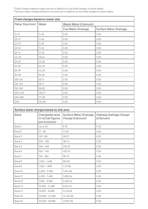\*Fixed Charges based on pipe size are in addition to the fixed charges in these tables.  $\mathrm{``Surface\,\,where}$  based on site area are in addition to the fixed charges in these tables.

| <b>Fixed charges based on meter size</b> |        |                            |                               |  |
|------------------------------------------|--------|----------------------------|-------------------------------|--|
| Meter Size (mm)                          | Water  | Waste Water (£/annum)      |                               |  |
|                                          |        | <b>Foul Water Drainage</b> | <b>Surface Water Drainage</b> |  |
| $15 - 21$                                | 11.48  | 0.00                       | 0.00                          |  |
| $20 - 21$                                | 11.48  | 0.00                       | 0.00                          |  |
| $22 - 27$                                | 11.48  | 0.00                       | 0.00                          |  |
| $28 - 34$                                | 11.48  | 0.00                       | 0.00                          |  |
| $35 - 41$                                | 14.76  | 0.00                       | 0.00                          |  |
| $42 - 49$                                | 36.64  | 0.00                       | 0.00                          |  |
| $50 - 53$                                | 42.28  | 0.00                       | 0.00                          |  |
| 54-64                                    | 42.28  | 0.00                       | 0.00                          |  |
| 65-79                                    | 42.28  | 0.00                       | 0.00                          |  |
| 80-99                                    | 53.82  | 0.00                       | 0.00                          |  |
| $100 - 124$                              | 56.71  | 0.00                       | 0.00                          |  |
| 125-149                                  | 56.71  | 0.00                       | 0.00                          |  |
| 150-199                                  | 99.00  | 0.00                       | 0.00                          |  |
| 200-249                                  | 108.77 | 0.00                       | 0.00                          |  |
| 250-299                                  | 117.36 | 0.00                       | 0.00                          |  |
| $300+$                                   | 123.96 | 0.00                       | 0.00                          |  |

| Surface water charges based on site area |                                                         |                                                   |                                             |  |
|------------------------------------------|---------------------------------------------------------|---------------------------------------------------|---------------------------------------------|--|
| <b>Band</b>                              | Chargeable area<br>in m2 (all figures<br>are inclusive) | <b>Surface Water Drainage</b><br>Charge (£/annum) | <b>Highway Drainage Charge</b><br>(E/annum) |  |
| Band 1                                   | Up to 20                                                | 8.76                                              | 0.00                                        |  |
| Band 2                                   | $21 - 99$                                               | 47.92                                             | 0.00                                        |  |
| Band 3                                   | $100 - 199$                                             | 96.07                                             | 0.00                                        |  |
| Band 4                                   | $200 - 299$                                             | 160.14                                            | 0.00                                        |  |
| Band 5                                   | $300 - 499$                                             | 256.33                                            | 0.00                                        |  |
| Band 6                                   | $500 - 749$                                             | 400.72                                            | 0.00                                        |  |
| Band 7                                   | $750 - 999$                                             | 561.12                                            | 0.00                                        |  |
| Band 8                                   | $1,000 - 1,499$                                         | 801.50                                            | 0.00                                        |  |
| Band 9                                   | $1,500 - 1,999$                                         | 1,121.66                                          | 0.00                                        |  |
| Band 10                                  | $2,000 - 3,999$                                         | 1,922.89                                          | 0.00                                        |  |
| Band 11                                  | $4,000 - 7,499$                                         | 3,685.94                                          | 0.00                                        |  |
| Band 12                                  | $7,500 - 9,999$                                         | 5,609.42                                          | 0.00                                        |  |
| Band 13                                  | $10,000 - 14,999$                                       | 8,013.40                                          | 0.00                                        |  |
| Band 14                                  | $15,000 - 19,999$                                       | 11,219.09                                         | 0.00                                        |  |
| Band 15                                  | $20,000 - 24,999$                                       | 14,424.69                                         | 0.00                                        |  |
| Band 16                                  | $25,000 - 29,999$                                       | 17,630.38                                         | 0.00                                        |  |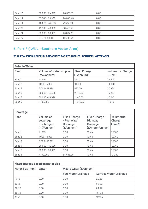| Band 17 | 30,000 - 34,999   | 20,835.87  | 0.00 |
|---------|-------------------|------------|------|
| Band 18 | 35,000 - 39,999   | 24,043.46  | 0.00 |
| Band 19 | $40,000 - 44,999$ | 27,251.06  | 0.00 |
| Band 20 | 45,000 - 49,999   | 30,458.77  | 0.00 |
| Band 21 | $50,000 - 99,999$ | 48,087.30  | 0.00 |
| Band 22 | Over 100,000      | 112,219.74 | 0.00 |

## **6. Part F (IWNL - Southern Water Area)**

#### **WHOLESALE NON-HOUSEHOLD MEASURED TARIFFS 2022-23: SOUTHERN WATER AREA**

| <b>Potable Water</b> |                                          |                                             |                                    |  |
|----------------------|------------------------------------------|---------------------------------------------|------------------------------------|--|
| <b>Band</b>          | Volume of water supplied<br>(m3 / annum) | <b>Fixed Charge</b><br>$(E/\text{annum})^*$ | <b>Volumetric Charge</b><br>(E/m3) |  |
| Band 1               | $1 - 999$                                | 23.00                                       | 1.4270                             |  |
| Band 2               | $1,000 - 4,999$                          | 101.00                                      | 1.5090                             |  |
| Band 3               | $5,000 - 19,999$                         | 580.00                                      | 1.3930                             |  |
| Band 4               | $20,000 - 49,999$                        | 2,140.00                                    | 1.3150                             |  |
| Band 5               | $50,000 - 99,999$                        | 2,140.00                                    | 1.3150                             |  |
| Band 6               | >100,000                                 | 17,940.00                                   | 1.1570                             |  |

| <b>Sewerage</b> |                                                   |                                                                                |                                                                 |                                |
|-----------------|---------------------------------------------------|--------------------------------------------------------------------------------|-----------------------------------------------------------------|--------------------------------|
| <b>Band</b>     | Volume of<br>sewerage<br>discharged<br>(m3/annum) | <b>Fixed Charge</b><br>- Foul Water<br><b>Drainage</b><br>$(E/\text{annum})^*$ | Fixed Charge -<br>Highway<br><b>Drainage</b><br>(£/meter/annum) | Volumetric<br>Charge<br>(E/m3) |
| Band 1          | $1 - 999$                                         | 0.00                                                                           | 10.44                                                           | 1.9760                         |
| Band 2          | $1,000 - 4,999$                                   | 0.00                                                                           | 10.44                                                           | 1.9760                         |
| Band 3          | $5,000 - 19,999$                                  | 0.00                                                                           | 10.44                                                           | 1.9760                         |
| Band 4          | $20,000 - 49,999$                                 | 0.00                                                                           | 10.44                                                           | 1.9760                         |
| Band 5          | $50,000 - 99,999$                                 | 0.00                                                                           | 10.44                                                           | 1.9760                         |
| Band 6          | >100,000                                          | 54,698.00                                                                      | 10.44                                                           | 1.4290                         |

| <b>Fixed charges based on meter size</b> |              |                                                             |        |  |
|------------------------------------------|--------------|-------------------------------------------------------------|--------|--|
| Meter Size (mm)                          | <b>Water</b> | Waste Water (£/annum)                                       |        |  |
|                                          |              | <b>Foul Water Drainage</b><br><b>Surface Water Drainage</b> |        |  |
| $15 - 19$                                | 0.00         | 0.00                                                        | 20.88  |  |
| $20 - 21$                                | 0.00         | 0.00                                                        | 83.52  |  |
| $22 - 27$                                | 0.00         | 0.00                                                        | 83.52  |  |
| $28 - 34$                                | 0.00         | 0.00                                                        | 167.04 |  |
| $35 - 41$                                | 0.00         | 0.00                                                        | 167.04 |  |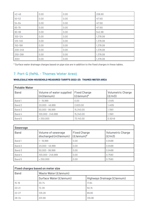| $42 - 49$   | 0.00 | 0.00 | 208.80   |
|-------------|------|------|----------|
| $50 - 53$   | 0.00 | 0.00 | 417.60   |
| 54-64       | 0.00 | 0.00 | 417.60   |
| 65-79       | 0.00 | 0.00 | 417.60   |
| 80-99       | 0.00 | 0.00 | 542.88   |
| $100 - 124$ | 0.00 | 0.00 | 1,378.08 |
| 125-149     | 0.00 | 0.00 | 1,378.08 |
| 150-199     | 0.00 | 0.00 | 1,378.08 |
| 200-249     | 0.00 | 0.00 | 1,378.08 |
| 250-299     | 0.00 | 0.00 | 1,378.08 |
| $300+$      | 0.00 | 0.00 | 1,378.08 |

\* Surface water drainage charges based on pipe size are in addition to the fixed charges in these tables.

## **7. Part G (IWNL - Thames Water Area)**

#### **WHOLESALE NON-HOUSEHOLD MEASURED TARIFFS 2022-23: THAMES WATER AREA**

| <b>Potable Water</b> |                                        |                                             |                                    |  |  |
|----------------------|----------------------------------------|---------------------------------------------|------------------------------------|--|--|
| <b>Band</b>          | Volume of water supplied<br>(m3/annum) | <b>Fixed Charge</b><br>$(E/\text{annum})^*$ | <b>Volumetric Charge</b><br>(E/m3) |  |  |
| Band 1               | 1-19,999                               | 0.00                                        | 1.5415                             |  |  |
| Band 2               | $20,000 - 49,999$                      | 2,620.00                                    | 1.4105                             |  |  |
| Band 3               | $50,000 - 99,999$                      | 15,340.00                                   | 1.1561                             |  |  |
| Band 4               | $100,000 - 249,999$                    | 15,340.00                                   | 1.1561                             |  |  |
| Band 5               | > 250,000                              | 73,140.00                                   | 0.9249                             |  |  |

| <b>Sewerage</b> |                                             |                                             |                                    |  |  |
|-----------------|---------------------------------------------|---------------------------------------------|------------------------------------|--|--|
| <b>Band</b>     | Volume of sewerage<br>discharged (m3/annum) | <b>Fixed Charge</b><br>$(E/\text{annum})^*$ | <b>Volumetric Charge</b><br>(E/m3) |  |  |
| Band 1          | 1 - 19,999                                  | 0.00                                        | 0.9488                             |  |  |
| Band 2          | $20,000 - 49,999$                           | 0.00                                        | 0.9488                             |  |  |
| Band 3          | $50,000 - 99,999$                           | 0.00                                        | 0.9488                             |  |  |
| Band 4          | 100,000 - 249,999                           | 0.00                                        | 0.7590                             |  |  |
| Band 5          | > 250,000                                   | 0.00                                        | 0.7590                             |  |  |

| <b>Fixed charges based on meter size</b> |                         |                             |  |  |
|------------------------------------------|-------------------------|-----------------------------|--|--|
| <b>Band</b>                              | Waste Water (£/annum)   |                             |  |  |
|                                          | Surface Water (£/annum) | Highways Drainage (£/annum) |  |  |
| $15 - 19$                                | 30.74                   | 17.84                       |  |  |
| $20 - 21$                                | 72.39                   | 50.15                       |  |  |
| $22 - 27$                                | 129.28                  | 89.80                       |  |  |
| $28 - 34$                                | 201.68                  | 139.96                      |  |  |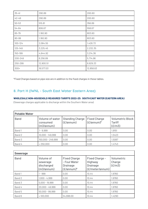| $35 - 41$ | 290.89    | 200.60    |
|-----------|-----------|-----------|
| $42 - 49$ | 290.89    | 200.60    |
| $50 - 53$ | 515.81    | 356.89    |
| 54-64     | 806.67    | 558.67    |
| 65-79     | 1,160.90  | 803.60    |
| 80-99     | 1,160.90  | 803.60    |
| 100-124   | 2,064.55  | 1,428.73  |
| 125-149   | 3,225.45  | 2,232.35  |
| 150-199   | 4,644.92  | 3,214.36  |
| 200-249   | 8,256.89  | 5,714.96  |
| 250-299   | 12,900.51 | 8,929.33  |
| $300+$    | 18,577.03 | 12,858.63 |

## **8. Part H (IWNL - South East Water Eastern Area)**

#### **WHOLESALE NON-HOUSEHOLD MEASURED TARIFFS 2022-23: SOUTH EAST WATER (EASTERN AREA)**

(Sewerage charges applicable to discharge within the Southern Water area)

| <b>Potable Water</b> |                                           |                                     |                                     |                                                    |  |
|----------------------|-------------------------------------------|-------------------------------------|-------------------------------------|----------------------------------------------------|--|
| <b>Band</b>          | Volume of water<br>consumed<br>(m3/annum) | <b>Standing Charge</b><br>(E/annum) | <b>Fixed Charge</b><br>$(E/annum)*$ | <b>Volumetric Block</b><br><b>Tariff</b><br>(E/m3) |  |
| Band 1               | 1 - 9,999                                 | 0.00                                | 0.00                                | 1.9151                                             |  |
| Band 2               | 10,000 - 149,999                          | 0.00                                | 0.00                                | 1.5423                                             |  |
| Band 3               | 150,000 - 249,999                         | 0.00                                | 0.00                                | 1.5087                                             |  |
| Band 4               | > 250,000                                 | 0.00                                | 0.00                                | 1.4743                                             |  |

| <b>Sewerage</b> |                                                   |                                                                                |                                                                 |                                |
|-----------------|---------------------------------------------------|--------------------------------------------------------------------------------|-----------------------------------------------------------------|--------------------------------|
| <b>Band</b>     | Volume of<br>sewerage<br>discharged<br>(m3/annum) | <b>Fixed Charge</b><br>- Foul Water<br><b>Drainage</b><br>$(E/\text{annum})^*$ | Fixed Charge -<br>Highway<br><b>Drainage</b><br>(£/meter/annum) | Volumetric<br>Charge<br>(E/m3) |
| Band 1          | $1 - 999$                                         | 0.00                                                                           | 10.44                                                           | 1.9760                         |
| Band 2          | $1,000 - 4,999$                                   | 0.00                                                                           | 10.44                                                           | 1.9760                         |
| Band 3          | $5,000 - 19,999$                                  | 0.00                                                                           | 10.44                                                           | 1.9760                         |
| Band 4          | $20,000 - 49,999$                                 | 0.00                                                                           | 10.44                                                           | 1.9760                         |
| Band 5          | $50,000 - 99,999$                                 | 0.00                                                                           | 10.44                                                           | 1.9760                         |
| Band 6          | >100,000                                          | 54,698.00                                                                      | 10.44                                                           | 1.4290                         |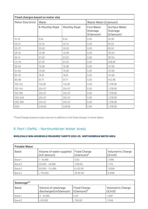| <b>Fixed charges based on meter size</b> |                       |                     |                                                            |                                                      |
|------------------------------------------|-----------------------|---------------------|------------------------------------------------------------|------------------------------------------------------|
| Meter Size (mm)                          | Water                 |                     | Waste Water (£/annum)                                      |                                                      |
|                                          | <b>6-Monthly Read</b> | <b>Monthly Read</b> | <b>Foul Water</b><br><b>Drainage</b><br>$(E/\text{annum})$ | <b>Surface Water</b><br><b>Drainage</b><br>(£/annum) |
| $15 - 19$                                | 6.64                  | 6.64                | 0.00                                                       | 20.88                                                |
| $20 - 21$                                | 22.10                 | 22.10               | 0.00                                                       | 83.52                                                |
| $22 - 27$                                | 30.02                 | 30.02               | 0.00                                                       | 83.52                                                |
| $28 - 34$                                | 45.96                 | 45.96               | 0.00                                                       | 167.04                                               |
| $35 - 41$                                | 57.20                 | 57.20               | 0.00                                                       | 167.04                                               |
| $42 - 49$                                | 57.20                 | 57.20               | 0.00                                                       | 208.80                                               |
| $50 - 53$                                | 70.90                 | 70.90               | 0.00                                                       | 417.60                                               |
| 54-64                                    | 70.90                 | 70.90               | 0.00                                                       | 417.60                                               |
| 65-79                                    | 78.81                 | 78.81               | 0.00                                                       | 417.60                                               |
| 80-99                                    | 97.71                 | 97.71               | 0.00                                                       | 542.88                                               |
| $100 - 124$                              | 140.58                | 140.58              | 0.00                                                       | 1,378.08                                             |
| 125-149                                  | 204.57                | 204.57              | 0.00                                                       | 1,378.08                                             |
| 150-199                                  | 204.57                | 204.57              | 0.00                                                       | 1,378.08                                             |
| 200-249                                  | 204.57                | 204.57              | 0.00                                                       | 1,378.08                                             |
| 250-299                                  | 204.57                | 204.57              | 0.00                                                       | 1,378.08                                             |
| $300+$                                   | 248.06                | 248.06              | 0.00                                                       | 1,378.08                                             |

## **9. Part I (IWNL - Northumbrian Water Area)**

#### **WHOLESALE NON-HOUSEHOLD MEASURED TARIFFS 2022-23: NORTHUMBRIAN WATER AREA**

| <b>Potable Water</b> |                                                   |                                             |                                    |  |  |
|----------------------|---------------------------------------------------|---------------------------------------------|------------------------------------|--|--|
| <b>Band</b>          | Volume of water supplied<br>$(m3 / \text{annum})$ | <b>Fixed Charge</b><br>$(E/\text{annum})^*$ | <b>Volumetric Charge</b><br>(E/m3) |  |  |
| Band 1               | 1-19,999                                          | 0.00                                        | 1.1696                             |  |  |
| Band 2               | $20,000 - 49,999$                                 | 1,169.60                                    | 1.1112                             |  |  |
| Band 3               | $50,000 - 174,999$                                | 6,432.80                                    | 1.0058                             |  |  |
| Band 4               | >175,000                                          | 39,181.60                                   | 0.8188                             |  |  |

| Sewerage**  |                                                              |                     |                             |  |  |
|-------------|--------------------------------------------------------------|---------------------|-----------------------------|--|--|
| <b>Band</b> | Volume of sewerage<br>discharged (m3/annum) $  (E/annum)^* $ | <b>Fixed Charge</b> | Volumetric Charge<br>(E/m3) |  |  |
| Band 1      | $0 - 19,999$                                                 | 0.00                | 1.1697                      |  |  |
| Band 2      | >20,000                                                      | 1,750.00            | 1.1346                      |  |  |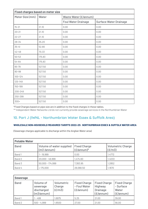| <b>Fixed charges based on meter size</b> |        |                            |                               |  |
|------------------------------------------|--------|----------------------------|-------------------------------|--|
| Meter Size (mm)                          | Water  | Waste Water (£/annum)      |                               |  |
|                                          |        | <b>Foul Water Drainage</b> | <b>Surface Water Drainage</b> |  |
| $15 - 21$                                | 21.10  | 0.00                       | 0.00                          |  |
| $20 - 21$                                | 21.10  | 0.00                       | 0.00                          |  |
| $22 - 27$                                | 21.10  | 0.00                       | 0.00                          |  |
| $28 - 34$                                | 35.20  | 0.00                       | 0.00                          |  |
| $35 - 41$                                | 52.80  | 0.00                       | 0.00                          |  |
| $42 - 49$                                | 70.33  | 0.00                       | 0.00                          |  |
| $50 - 53$                                | 175.83 | 0.00                       | 0.00                          |  |
| 54-64                                    | 175.83 | 0.00                       | 0.00                          |  |
| 65-79                                    | 527.50 | 0.00                       | 0.00                          |  |
| 80-99                                    | 527.50 | 0.00                       | 0.00                          |  |
| $100 - 124$                              | 527.50 | 0.00                       | 0.00                          |  |
| 125-149                                  | 527.50 | 0.00                       | 0.00                          |  |
| 150-199                                  | 527.50 | 0.00                       | 0.00                          |  |
| 200-249                                  | 527.50 | 0.00                       | 0.00                          |  |
| 250-299                                  | 527.50 | 0.00                       | 0.00                          |  |
| $300+$                                   | 527.50 | 0.00                       | 0.00                          |  |

\*\* Independent Water Networks Ltd do not currently provide sewerage services in the Northumbrian Water

## **10. Part J (IWNL - Northumbrian Water Essex & Suffolk Area)**

#### **WHOLESALE NON-HOUSEHOLD MEASURED TARIFFS 2022-23: NORTHUMBRIAN ESSEX & SUFFOLK WATER AREA**

(Sewerage charges applicable to discharge within the Anglian Water area)

| <b>Potable Water</b> |                                                   |                                             |                                    |  |  |
|----------------------|---------------------------------------------------|---------------------------------------------|------------------------------------|--|--|
| <b>Band</b>          | Volume of water supplied<br>$(m3 / \text{annum})$ | <b>Fixed Charge</b><br>$(E/\text{annum})^*$ | <b>Volumetric Charge</b><br>(E/m3) |  |  |
| Band 1               | 1 – 19,999                                        | 0.00                                        | 1.4772                             |  |  |
| Band 2               | $20,000 - 49,999$                                 | 1,474.60                                    | 1.4033                             |  |  |
| Band 3               | $50,000 - 174,999$                                | 7,383.95                                    | l.2852                             |  |  |
| Band 4               | >175,000                                          | 28,068.50                                   | l.1670                             |  |  |

| <b>Sewerage</b> |                                                   |                                |                                                  |                                                                |                                                        |
|-----------------|---------------------------------------------------|--------------------------------|--------------------------------------------------|----------------------------------------------------------------|--------------------------------------------------------|
| <b>Band</b>     | Volume of<br>sewerage<br>discharged<br>(m3/annum) | Volumetric<br>Charge<br>(E/m3) | <b>Fixed Charge</b><br>- Foul Water<br>(E/annum) | <b>Fixed Charge</b><br>Highway<br><b>Drainage</b><br>(E/annum) | <b>Fixed Charge</b><br>- Surface<br>Water<br>(E/annum) |
| Band 1          | $-499$                                            | 1.6975                         | 5.25                                             | 21.00                                                          | 39.00                                                  |
| Band 2          | $500 - 4,999$                                     | .6500                          | 27.00                                            | 21.00                                                          | 56.00                                                  |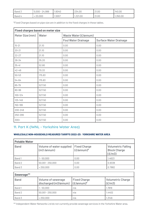| <b>Band 3</b> | $5,000 - 24,999$ | 1.6040        | 234.00   | 21.00 | 140.00   |
|---------------|------------------|---------------|----------|-------|----------|
| Band 4        | 20,000           | <b>1.5557</b> | 1,321.00 | 21.00 | 1,350.00 |

| <b>Fixed charges based on meter size</b> |        |                            |                               |  |
|------------------------------------------|--------|----------------------------|-------------------------------|--|
| Meter Size (mm)                          | Water  | Waste Water (£/annum)      |                               |  |
|                                          |        | <b>Foul Water Drainage</b> | <b>Surface Water Drainage</b> |  |
| $15 - 21$                                | 21.10  | 0.00                       | 0.00                          |  |
| $20 - 21$                                | 21.10  | 0.00                       | 0.00                          |  |
| $22 - 27$                                | 21.10  | 0.00                       | 0.00                          |  |
| $28 - 34$                                | 35.20  | 0.00                       | 0.00                          |  |
| $35 - 41$                                | 52.80  | 0.00                       | 0.00                          |  |
| $42 - 49$                                | 70.33  | 0.00                       | 0.00                          |  |
| $50 - 53$                                | 175.83 | 0.00                       | 0.00                          |  |
| 54-64                                    | 175.83 | 0.00                       | 0.00                          |  |
| 65-79                                    | 527.50 | 0.00                       | 0.00                          |  |
| 80-99                                    | 527.50 | 0.00                       | 0.00                          |  |
| $100 - 124$                              | 527.50 | 0.00                       | 0.00                          |  |
| 125-149                                  | 527.50 | 0.00                       | 0.00                          |  |
| 150-199                                  | 527.50 | 0.00                       | 0.00                          |  |
| 200-249                                  | 527.50 | 0.00                       | 0.00                          |  |
| 250-299                                  | 527.50 | 0.00                       | 0.00                          |  |
| $300+$                                   | 527.50 | 0.00                       | 0.00                          |  |

## **11. Part K (IWNL - Yorkshire Water Area)**

#### **WHOLESALE NON-HOUSEHOLD MEASURED TARIFFS 2022-23: YORKSHIRE WATER AREA**

| <b>Potable Water</b> |                                                   |                                   |                                                            |  |  |
|----------------------|---------------------------------------------------|-----------------------------------|------------------------------------------------------------|--|--|
| <b>Band</b>          | Volume of water supplied<br>$(m3 / \text{annum})$ | <b>Fixed Charge</b><br>(£/annum)* | <b>Volumetric Falling</b><br><b>Block Charge</b><br>(E/m3) |  |  |
| Band 1               | 1 – 50,000                                        | 0.00                              | 1.4623                                                     |  |  |
| Band 2               | $50,001 - 250,000$                                | 0.00                              | 0.9338                                                     |  |  |
| Band 3               | > 250,000                                         | 0.00                              | 0.7882                                                     |  |  |

| Sewerage**  |                                                                                 |                     |                                    |  |
|-------------|---------------------------------------------------------------------------------|---------------------|------------------------------------|--|
| <b>Band</b> | Volume of sewerage<br>discharged (m3/annum) $\left  (E/\text{annum})^* \right $ | <b>Fixed Charge</b> | <b>Volumetric Charge</b><br>(E/m3) |  |
| Band 1      | $-50.000$                                                                       | n/a                 | 1.7819                             |  |
| Band 2      | $50,001 - 250,000$                                                              | n/a                 | 1.4402                             |  |
| Band 3      | > 250,000                                                                       | n/a                 | 1.3146                             |  |

\*\* Independent Water Networks Ltd do not currently provide sewerage services in the Yorkshire Water area.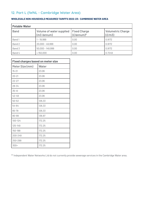## **12. Part L (IWNL - Cambridge Water Area)**

| <b>Potable Water</b> |                                                   |                                             |                                    |  |
|----------------------|---------------------------------------------------|---------------------------------------------|------------------------------------|--|
| <b>Band</b>          | Volume of water supplied<br>$(m3 / \text{annum})$ | <b>Fixed Charge</b><br>$(E/\text{annum})^*$ | <b>Volumetric Charge</b><br>(E/m3) |  |
| Band 1               | 1 – 19,999                                        | 0.00                                        | 0.9172                             |  |
| Band 2               | $20,000 - 49,999$                                 | 0.00                                        | 0.9172                             |  |
| Band 3               | $50,000 - 149,999$                                | 0.00                                        | 0.9172                             |  |
| Band 4               | >150,000                                          | 0.00                                        | 0.7249                             |  |

#### **WHOLESALE NON-HOUSEHOLD MEASURED TARIFFS 2022-23: CAMBRIDGE WATER AREA**

| <b>Fixed charges based on meter size</b> |        |  |
|------------------------------------------|--------|--|
| Meter Size (mm)                          | Water  |  |
| $15 - 21$                                | 23.06  |  |
| $20 - 21$                                | 23.06  |  |
| $22 - 27$                                | 23.06  |  |
| $28 - 34$                                | 23.06  |  |
| $35 - 41$                                | 23.06  |  |
| $42 - 49$                                | 23.06  |  |
| $50 - 53$                                | 126.33 |  |
| 54-64                                    | 126.33 |  |
| 65-79                                    | 126.33 |  |
| 80-99                                    | 136.97 |  |
| $100 - 124$                              | 172.25 |  |
| 125-149                                  | 172.25 |  |
| 150-199                                  | 172.25 |  |
| 200-249                                  | 172.25 |  |
| 250-299                                  | 172.25 |  |
| 300+                                     | 172.25 |  |

\*\* Independent Water Networks Ltd do not currently provide sewerage services in the Cambridge Water area.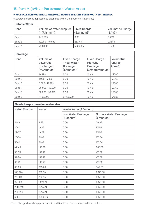## **13. Part M (IWNL - Portsmouth Water Area)**

#### **WHOLESALE NON-HOUSEHOLD MEASURED TARIFFS 2022-23: PORTSMOUTH WATER AREA**

(Sewerage charges applicable to discharge within the Southern Water area)

| <b>Potable Water</b> |                                                                  |                      |                                    |
|----------------------|------------------------------------------------------------------|----------------------|------------------------------------|
| <b>Band</b>          | Volume of water supplied   Fixed Charge<br>$(m3 / \text{annum})$ | $(E/\text{annum})^*$ | <b>Volumetric Charge</b><br>(E/m3) |
| Band 1               | $1 - 9.999$                                                      | 0.00                 | 0.7811                             |
| Band 2               | $10,000 - 49,999$                                                | 230.43               | 0.7585                             |
| Band 3               | >50,000                                                          | 5,604.65             | 0.6460                             |

| <b>Sewerage</b> |                                                   |                                                                                |                                                                 |                                |
|-----------------|---------------------------------------------------|--------------------------------------------------------------------------------|-----------------------------------------------------------------|--------------------------------|
| <b>Band</b>     | Volume of<br>sewerage<br>discharged<br>(m3/annum) | <b>Fixed Charge</b><br>- Foul Water<br><b>Drainage</b><br>$(E/\text{annum})^*$ | Fixed Charge -<br>Highway<br><b>Drainage</b><br>(£/meter/annum) | Volumetric<br>Charge<br>(E/m3) |
| Band 1          | $1 - 999$                                         | 0.00                                                                           | 10.44                                                           | 1.9760                         |
| Band 2          | $1,000 - 4,999$                                   | 0.00                                                                           | 10.44                                                           | 1.9760                         |
| Band 3          | $5,000 - 19,999$                                  | 0.00                                                                           | 10.44                                                           | 1.9760                         |
| Band 4          | $20,000 - 49,999$                                 | 0.00                                                                           | 10.44                                                           | 1.9760                         |
| Band 5          | $50,000 - 99,999$                                 | 0.00                                                                           | 10.44                                                           | 1.9760                         |
| Band 6          | >100,000                                          | 54,698.00                                                                      | 10.44                                                           | 1.4290                         |

| <b>Fixed charges based on meter size</b> |          |                                         |                                                     |
|------------------------------------------|----------|-----------------------------------------|-----------------------------------------------------|
| Meter Size (mm)                          | Water    | Waste Water (£/annum)                   |                                                     |
|                                          |          | <b>Foul Water Drainage</b><br>(£/annum) | <b>Surface Water Drainage</b><br>$(E/\text{annum})$ |
| $15 - 19$                                | 9.38     | 0.00                                    | 20.88                                               |
| $20 - 21$                                | 14.22    | 0.00                                    | 83.52                                               |
| $22 - 27$                                | 14.22    | 0.00                                    | 83.52                                               |
| $28 - 34$                                | 71.63    | 0.00                                    | 167.04                                              |
| $35 - 41$                                | 71.63    | 0.00                                    | 167.04                                              |
| $42 - 49$                                | 156.90   | 0.00                                    | 208.80                                              |
| $50 - 53$                                | 199.79   | 0.00                                    | 417.60                                              |
| 54-64                                    | 199.79   | 0.00                                    | 417.60                                              |
| 65-79                                    | 199.79   | 0.00                                    | 417.60                                              |
| 80-99                                    | 295.66   | 0.00                                    | 542.88                                              |
| $100 - 124$                              | 752.04   | 0.00                                    | 1,378.08                                            |
| 125-149                                  | 752.04   | 0.00                                    | 1,378.08                                            |
| 150-199                                  | 1,676.21 | 0.00                                    | 1,378.08                                            |
| 200-249                                  | 2,777.31 | 0.00                                    | 1,378.08                                            |
| 250-299                                  | 2,777.31 | 0.00                                    | 1,378.08                                            |
| $300+$                                   | 6,662.43 | 0.00                                    | 1,378.08                                            |

\*Fixed Charges based on pipe size are in addition to the fixed charges in these tables.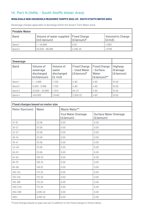## **14. Part N (IWNL - South Staffs Water Area)**

#### **WHOLESALE NON-HOUSEHOLD MEASURED TARIFFS 2022-23: SOUTH STAFFS WATER AREA**

(Sewerage charges applicable to discharge within the Severn Trent Water area)

| <b>Potable Water</b> |                                                                  |            |                                    |  |
|----------------------|------------------------------------------------------------------|------------|------------------------------------|--|
| <b>Band</b>          | Volume of water supplied   Fixed Charge<br>$(m3 / \text{annum})$ | (£/annum)* | <b>Volumetric Charge</b><br>(E/m3) |  |
| Band 1               | 1 – 49,999                                                       | 0.00       | 1.1383                             |  |
| Band 2               | $50,000 - 99,999$                                                | 2,295.26   | 1.0756                             |  |

| <b>Sewerage</b> |                                                   |                                            |                                                     |                                                                      |                                         |
|-----------------|---------------------------------------------------|--------------------------------------------|-----------------------------------------------------|----------------------------------------------------------------------|-----------------------------------------|
| <b>Band</b>     | Volume of<br>sewerage<br>discharged<br>(m3/annum) | Volume of<br>water<br>discharged<br>(E/m3) | <b>Fixed Charge</b><br>- Used Water<br>$(E/annum)*$ | <b>Fixed Charge</b><br>- Surface<br>Water<br>$(E/\text{annum})^{**}$ | Highway<br><b>Drainage</b><br>(E/annum) |
| Band 1          | $-4,999$                                          | 1.1125                                     | 4.80                                                | 4.80                                                                 | 15.00                                   |
| Band 2          | $5,000 - 9,999$                                   | 1.1125                                     | 4.80                                                | 4.80                                                                 | 15.00                                   |
| Band 3          | $10,000 - 49,999$                                 | 1.1041                                     | 84.23                                               | 4.80                                                                 | 15.00                                   |
| Band 4          | >50,000                                           | 1.0492                                     | 2,828.32                                            | 4.80                                                                 | 15.00                                   |

| <b>Fixed charges based on meter size</b> |          |                                         |                                            |
|------------------------------------------|----------|-----------------------------------------|--------------------------------------------|
| Meter Size (mm)                          | Water    | Waste Water**                           |                                            |
|                                          |          | <b>Foul Water Drainage</b><br>(£/annum) | <b>Surface Water Drainage</b><br>(£/annum) |
| $15 - 19$                                | 23.06    | 0.00                                    | 0.00                                       |
| $20 - 21$                                | 23.06    | 0.00                                    | 0.00                                       |
| $22 - 27$                                | 23.06    | 0.00                                    | 0.00                                       |
| $28 - 34$                                | 23.06    | 0.00                                    | 0.00                                       |
| $35 - 41$                                | 23.06    | 0.00                                    | 0.00                                       |
| $42 - 49$                                | 23.06    | 0.00                                    | 0.00                                       |
| $50 - 53$                                | 23.06    | 0.00                                    | 0.00                                       |
| 54-64                                    | 126.33   | 0.00                                    | 0.00                                       |
| 65-79                                    | 126.33   | 0.00                                    | 0.00                                       |
| 80-99                                    | 136.97   | 0.00                                    | 0.00                                       |
| $100 - 124$                              | 172.25   | 0.00                                    | 0.00                                       |
| $125 - 149$                              | 172.25   | 0.00                                    | 0.00                                       |
| 150-199                                  | 172.25   | 0.00                                    | 0.00                                       |
| 200-249                                  | 172.25   | 0.00                                    | 0.00                                       |
| 250-299                                  | 3,091.49 | 0.00                                    | 0.00                                       |
| $300+$                                   | 3,091.49 | 0.00                                    | 0.00                                       |

\*Fixed Charges based on pipe size are in addition to the fixed charges in these tables.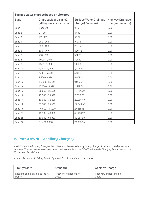| Surface water charges based on site area |                                                      |                                                   |                                             |
|------------------------------------------|------------------------------------------------------|---------------------------------------------------|---------------------------------------------|
| <b>Band</b>                              | Chargeable area in m2<br>(all figures are inclusive) | <b>Surface Water Drainage</b><br>Charge (£/annum) | <b>Highway Drainage</b><br>Charge (£/annum) |
| Band 1                                   | Up to 20                                             | 8.76                                              | 0.00                                        |
| Band 2                                   | $21 - 99$                                            | 47.92                                             | 0.00                                        |
| Band 3                                   | $100 - 199$                                          | 96.07                                             | 0.00                                        |
| Band 4                                   | $200 - 299$                                          | 160.14                                            | 0.00                                        |
| Band 5                                   | $300 - 499$                                          | 256.33                                            | 0.00                                        |
| Band 6                                   | $500 - 749$                                          | 400.72                                            | 0.00                                        |
| Band 7                                   | $750 - 999$                                          | 561.12                                            | 0.00                                        |
| Band 8                                   | $1,000 - 1,499$                                      | 801.50                                            | 0.00                                        |
| Band 9                                   | $1,500 - 1,999$                                      | 1,121.66                                          | 0.00                                        |
| Band 10                                  | $2,000 - 3,999$                                      | 1,922.89                                          | 0.00                                        |
| Band 11                                  | $4,000 - 7,499$                                      | 3,685.94                                          | 0.00                                        |
| Band 12                                  | $7,500 - 9,999$                                      | 5,609.42                                          | 0.00                                        |
| Band 13                                  | $10,000 - 14,999$                                    | 8,013.40                                          | 0.00                                        |
| Band 14                                  | 15,000 - 19,999                                      | 11,219.09                                         | 0.00                                        |
| Band 15                                  | $20,000 - 24,999$                                    | 14,424.69                                         | 0.00                                        |
| Band 16                                  | $25,000 - 29,999$                                    | 17,630.38                                         | 0.00                                        |
| Band 17                                  | $30,000 - 34,999$                                    | 20,835.87                                         | 0.00                                        |
| Band 18                                  | 35,000 - 39,999                                      | 24,043.46                                         | 0.00                                        |
| Band 19                                  | $40,000 - 44,999$                                    | 27,251.06                                         | 0.00                                        |
| Band 20                                  | $45,000 - 49,999$                                    | 30,458.77                                         | 0.00                                        |
| Band 21                                  | $50,000 - 99,999$                                    | 48,087.30                                         | 0.00                                        |
| Band 22                                  | Over 100,000                                         | 112,219.74                                        | 0.00                                        |

## **15. Part 0 (IWNL - Ancillary Charges)**

In addition to the Primary Charges, IWNL has also developed non-primary charges to support retailer service requests. These charges have been developed to meet both the OFWAT Wholesale Charging Guidelines and the Wholesale - Retail Code.

In-hours is Monday to Friday 9am to 5pm and Out of Hours is all other times.

| Fire Hydrants                       | Standard               | Abortive Charge        |
|-------------------------------------|------------------------|------------------------|
| Installing and maintaining fire hy- | Recovery of Reasonable | Recovery of Reasonable |
| l drants                            | Costs                  | Costs                  |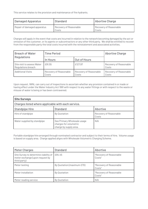This service relates to the provision and maintenance of fire hydrants.

| Damaged Apparatus           | Standard                        | Abortive Charge                 |
|-----------------------------|---------------------------------|---------------------------------|
| Repair of damaged apparatus | Recovery of Reasonable<br>Costs | Recovery of Reasonable<br>Costs |

Charges will apply in the event that costs are incurred in relation to the network becoming damaged by the act or omission of the customer, or its agents or subcontractors or any other third party. We shall be entitled to recover from the responsible party the total costs incurred with the reinstatement and associated activities.

| <b>Breach of Water</b>                           | <b>Time Period</b>              |                                 | <b>Abortive Charge</b>          |
|--------------------------------------------------|---------------------------------|---------------------------------|---------------------------------|
| <b>Regulations</b>                               | In Hours                        | Out of Hours                    |                                 |
| Site visit to assess Water<br>Regulations breach | £91.55                          | £127.97                         | Recovery of Reasonable<br>Costs |
| <b>Additional Visits</b>                         | Recovery of Reasonable<br>Costs | Recovery of Reasonable<br>Costs | Recovery of Reasonable<br>Costs |

Upon request, IWNL can carry out of inspections to ascertain whether any provision contained in or made or having effect under the Water Industry Act 1991 with respect to any water fittings or with respect to the waste or misuse of water is being or has been contravened.

| <b>Site Surveys</b>                                |                                                                                 |                                 |  |  |  |
|----------------------------------------------------|---------------------------------------------------------------------------------|---------------------------------|--|--|--|
| Charges listed where applicable with each service. |                                                                                 |                                 |  |  |  |
| <b>Standpipe Hire</b>                              | <b>Standard</b>                                                                 | Abortive                        |  |  |  |
| Hire of standpipe                                  | By Quotation                                                                    | Recovery of Reasonable<br>Costs |  |  |  |
| Water supplied by standpipe                        | See Primary Wholesale usage<br>charges for volumetric<br>charge by supply area. | N/A                             |  |  |  |

Portable standpipe hire arranged through nominated contractor and subject to their terms of hire. Volume usage is based on supply area. Charge applied aligns with Wholesale Volumetric Charging Scheme.

| <b>Meter Charges</b>                                                                     | <b>Standard</b>            | Abortive                          |
|------------------------------------------------------------------------------------------|----------------------------|-----------------------------------|
| Site Survey to determine viability of<br>meter exchange (upon request by<br>third party) | £94.45                     | "Recovery of Reasonable<br>Costs" |
| Meter testing                                                                            | By Quotation (maximum £70) | "Recovery of Reasonable<br>Costs" |
| Meter installation                                                                       | By Quotation               | "Recovery of Reasonable<br>Costs" |
| Meter reading service                                                                    | By Quotation               | N/A                               |